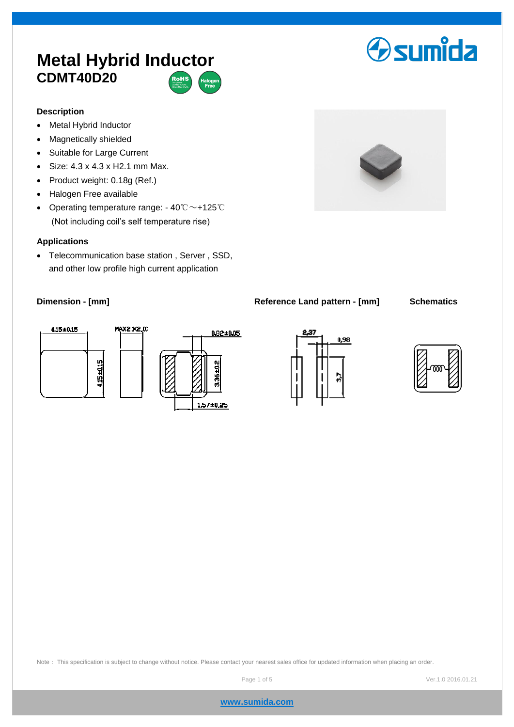# **Metal Hybrid Inductor CDMT40D20**



### **Description**

- Metal Hybrid Inductor
- Magnetically shielded
- Suitable for Large Current
- $\bullet$  Size: 4.3 x 4.3 x H2.1 mm Max.
- Product weight: 0.18g (Ref.)
- Halogen Free available
- Operating temperature range: 40℃~+125℃ (Not including coil's self temperature rise)

### **Applications**

 Telecommunication base station , Server , SSD, and other low profile high current application

### **Dimension - [mm] Reference Land pattern - [mm] Schematics**











# **Osumida**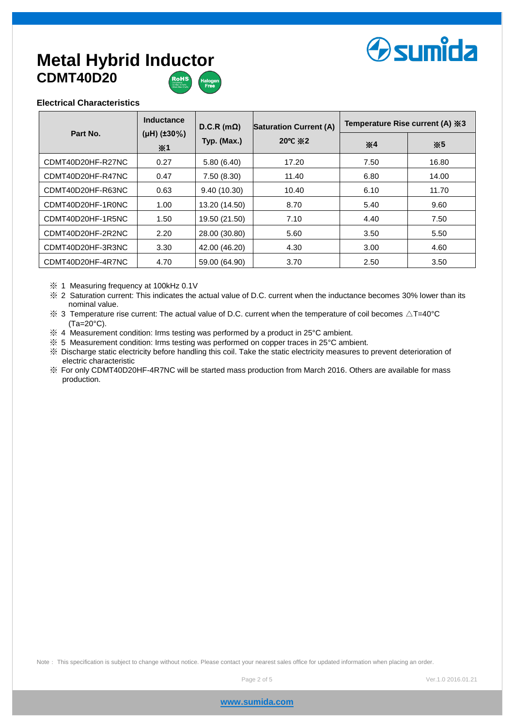# **Osumida**

## **Metal Hybrid Inductor CDMT40D20**



### **Electrical Characteristics**

| Part No.          | Inductance<br>( $\mu$ H) (±30%)<br>$*1$ | $D.C.R(m\Omega)$<br>Typ. (Max.) | <b>Saturation Current (A)</b><br>20 $\degree$ C $\degree$ 2 | Temperature Rise current (A) ※3 |       |
|-------------------|-----------------------------------------|---------------------------------|-------------------------------------------------------------|---------------------------------|-------|
|                   |                                         |                                 |                                                             | $*4$                            | $*5$  |
| CDMT40D20HF-R27NC | 0.27                                    | 5.80(6.40)                      | 17.20                                                       | 7.50                            | 16.80 |
| CDMT40D20HF-R47NC | 0.47                                    | 7.50(8.30)                      | 11.40                                                       | 6.80                            | 14.00 |
| CDMT40D20HF-R63NC | 0.63                                    | 9.40(10.30)                     | 10.40                                                       | 6.10                            | 11.70 |
| CDMT40D20HF-1R0NC | 1.00                                    | 13.20 (14.50)                   | 8.70                                                        | 5.40                            | 9.60  |
| CDMT40D20HF-1R5NC | 1.50                                    | 19.50 (21.50)                   | 7.10                                                        | 4.40                            | 7.50  |
| CDMT40D20HF-2R2NC | 2.20                                    | 28.00 (30.80)                   | 5.60                                                        | 3.50                            | 5.50  |
| CDMT40D20HF-3R3NC | 3.30                                    | 42.00 (46.20)                   | 4.30                                                        | 3.00                            | 4.60  |
| CDMT40D20HF-4R7NC | 4.70                                    | 59.00 (64.90)                   | 3.70                                                        | 2.50                            | 3.50  |

※ 1 Measuring frequency at 100kHz 0.1V

※ 2 Saturation current: This indicates the actual value of D.C. current when the inductance becomes 30% lower than its nominal value.

 $\%$  3 Temperature rise current: The actual value of D.C. current when the temperature of coil becomes  $\triangle T=40^{\circ}$ C (Ta=20°C).

※ 4 Measurement condition: Irms testing was performed by a product in 25°C ambient.

※ 5 Measurement condition: Irms testing was performed on copper traces in 25°C ambient.

※ Discharge static electricity before handling this coil. Take the static electricity measures to prevent deterioration of electric characteristic

※ For only CDMT40D20HF-4R7NC will be started mass production from March 2016. Others are available for mass production.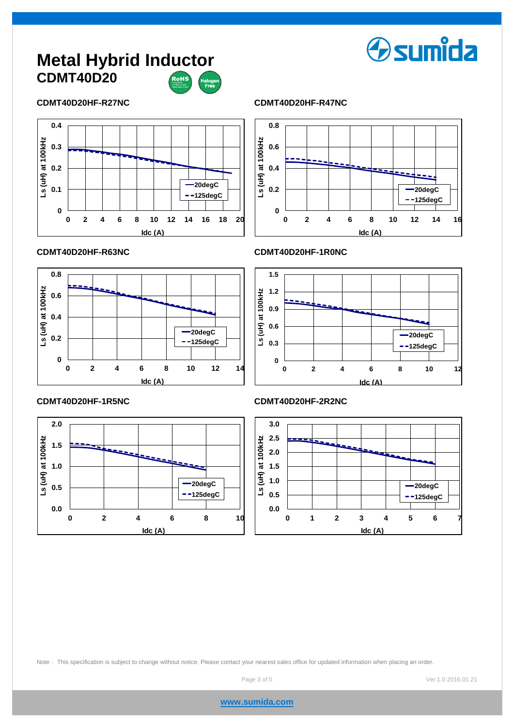## **Metal Hybrid Inductor CDMT40D20**



### **CDMT40D20HF-R27NC CDMT40D20HF-R47NC**





**Osumida** 



**CDMT40D20HF-R63NC CDMT40D20HF-1R0NC**



### **CDMT40D20HF-1R5NC CDMT40D20HF-2R2NC**



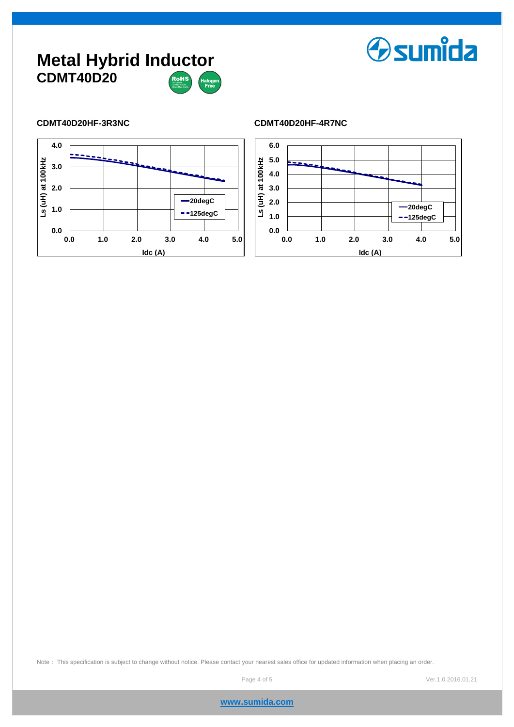### **Metal Hybrid Inductor CDMT40D20** –<br>RoHS



### **CDMT40D20HF-3R3NC CDMT40D20HF-4R7NC**



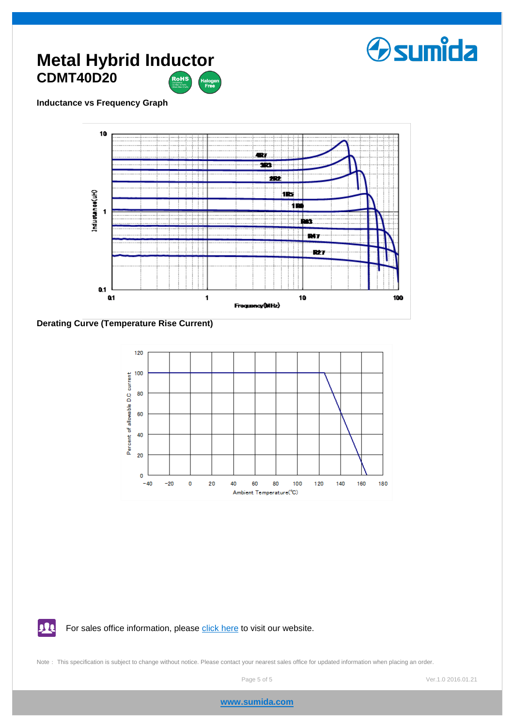

### **Metal Hybrid Inductor CDMT40D20** ,<br>RoHS

### **Inductance vs Frequency Graph**



**Derating Curve (Temperature Rise Current)**

11



For sales office information, please [click here](http://www.sumida.com/about/index.php?categoryId=20) to visit our website.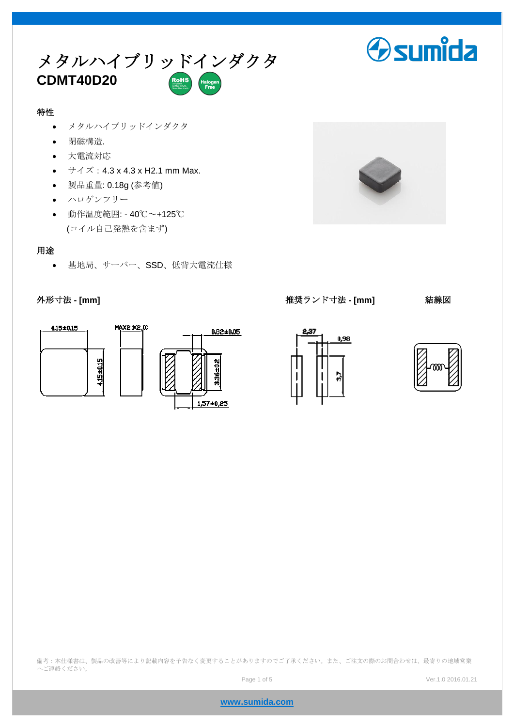

### 特性

- メタルハイブリッドインダクタ
- 閉磁構造.
- 大電流対応
- $\bullet$   $\forall$   $\forall$   $\forall$   $\vec{z}$  : 4.3 x 4.3 x H2.1 mm Max.
- 製品重量: 0.18g (参考値)
- ハロゲンフリー
- 動作温度範囲: 40℃~+125℃ (コイル自己発熱を含まず)

### 用途

基地局、サーバー、SSD、低背大電流仕様



外形寸法 **- [mm]** 推奨ランド寸法 **- [mm]** 結線図

**Osumida** 





備考:本仕様書は、製品の改善等により記載内容を予告なく変更することがありますのでご了承ください。また、ご注文の際のお問合わせは、最寄りの地域営業 へご連絡ください。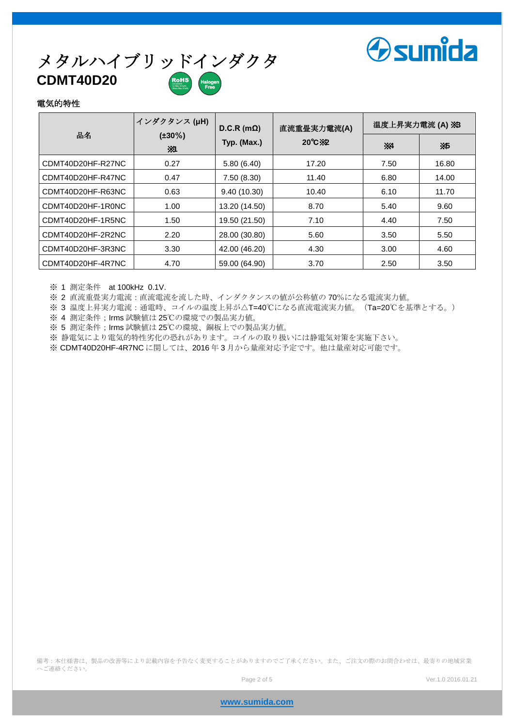

# メタルハイブリッドインダクタ **CDMT40D20**

### 電気的特性

|                   | インダクタンス (µH)       | $D.C.R(m\Omega)$ | 直流重畳実力電流(A)               | 温度上昇実力電流 (A) ※3 |           |
|-------------------|--------------------|------------------|---------------------------|-----------------|-----------|
| 品名                | $(\pm 30\%)$<br>Ж1 | Typ. (Max.)      | $20^{\circ}$ C $\times$ 2 | X4              | <b>X5</b> |
| CDMT40D20HF-R27NC | 0.27               | 5.80(6.40)       | 17.20                     | 7.50            | 16.80     |
| CDMT40D20HF-R47NC | 0.47               | 7.50 (8.30)      | 11.40                     | 6.80            | 14.00     |
| CDMT40D20HF-R63NC | 0.63               | 9.40(10.30)      | 10.40                     | 6.10            | 11.70     |
| CDMT40D20HF-1R0NC | 1.00               | 13.20 (14.50)    | 8.70                      | 5.40            | 9.60      |
| CDMT40D20HF-1R5NC | 1.50               | 19.50 (21.50)    | 7.10                      | 4.40            | 7.50      |
| CDMT40D20HF-2R2NC | 2.20               | 28.00 (30.80)    | 5.60                      | 3.50            | 5.50      |
| CDMT40D20HF-3R3NC | 3.30               | 42.00 (46.20)    | 4.30                      | 3.00            | 4.60      |
| CDMT40D20HF-4R7NC | 4.70               | 59.00 (64.90)    | 3.70                      | 2.50            | 3.50      |

※ 1 測定条件 at 100kHz 0.1V.

※ 2 直流重畳実力電流:直流電流を流した時、インダクタンスの値が公称値の70%になる電流実力値。

※ 3 温度上昇実力電流: 通電時、コイルの温度上昇が△T=40℃になる直流電流実力値。(Ta=20℃を基準とする。)

※ 4 測定条件;Irms 試験値は 25℃の環境での製品実力値。

※ 5 測定条件;Irms 試験値は 25℃の環境、銅板上での製品実力値。

※ 静電気により電気的特性劣化の恐れがあります。コイルの取り扱いには静電気対策を実施下さい。

※ CDMT40D20HF-4R7NC に関しては、2016 年 3 月から量産対応予定です。他は量産対応可能です。

備考:本仕様書は、製品の改善等により記載内容を予告なく変更することがありますのでご了承ください。また、ご注文の際のお問合わせは、最寄りの地域営業 へご連絡ください。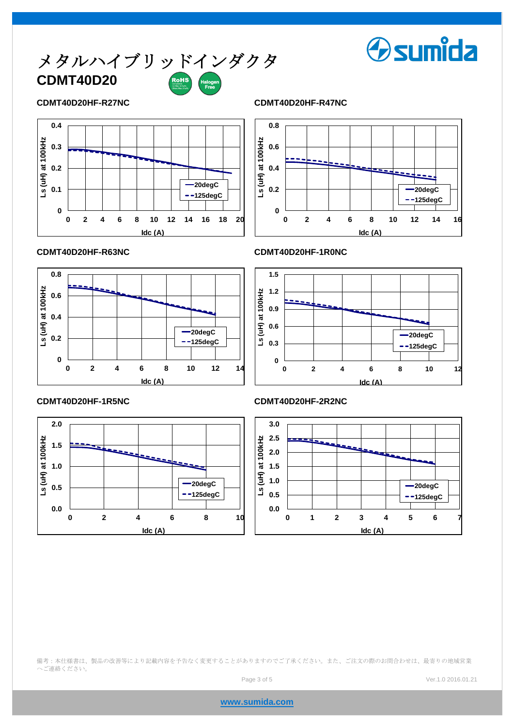

### **CDMT40D20HF-R27NC CDMT40D20HF-R47NC**





**Osumida** 



### **CDMT40D20HF-R63NC CDMT40D20HF-1R0NC**





### **CDMT40D20HF-1R5NC CDMT40D20HF-2R2NC**



備考:本仕様書は、製品の改善等により記載内容を予告なく変更することがありますのでご了承ください。また、ご注文の際のお問合わせは、最寄りの地域営業 へご連絡ください。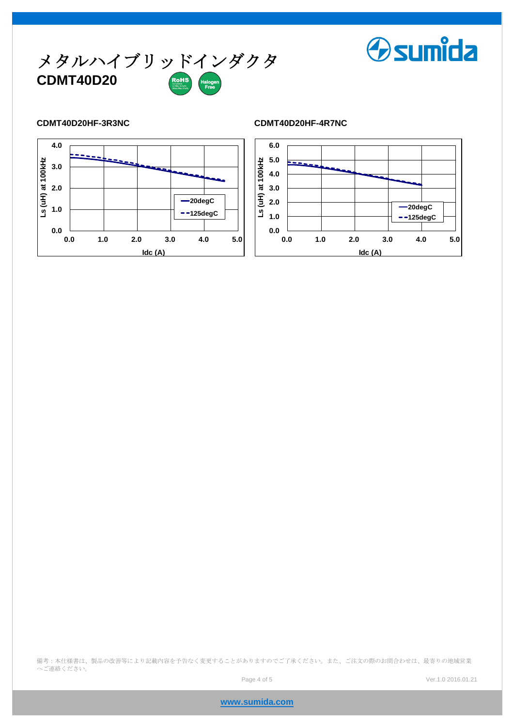

### **CDMT40D20HF-3R3NC CDMT40D20HF-4R7NC**





**Osumida** 

備考:本仕様書は、製品の改善等により記載内容を予告なく変更することがありますのでご了承ください。また、ご注文の際のお問合わせは、最寄りの地域営業 へご連絡ください。

**www.sumida.com**